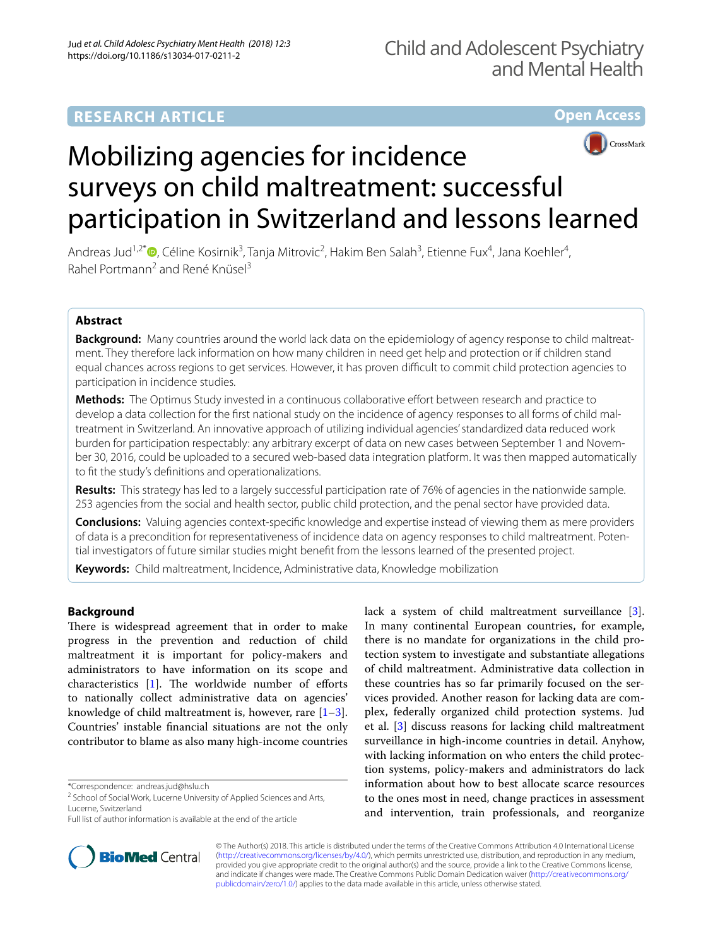## **RESEARCH ARTICLE**





# Mobilizing agencies for incidence surveys on child maltreatment: successful participation in Switzerland and lessons learned

Andreas Jud<sup>1[,](http://orcid.org/0000-0003-0135-4196)2\*</sup>®, Céline Kosirnik<sup>3</sup>, Tanja Mitrovic<sup>2</sup>, Hakim Ben Salah<sup>3</sup>, Etienne Fux<sup>4</sup>, Jana Koehler<sup>4</sup>, Rahel Portmann<sup>2</sup> and René Knüsel<sup>3</sup>

## **Abstract**

**Background:** Many countries around the world lack data on the epidemiology of agency response to child maltreatment. They therefore lack information on how many children in need get help and protection or if children stand equal chances across regions to get services. However, it has proven difcult to commit child protection agencies to participation in incidence studies.

**Methods:** The Optimus Study invested in a continuous collaborative effort between research and practice to develop a data collection for the frst national study on the incidence of agency responses to all forms of child maltreatment in Switzerland. An innovative approach of utilizing individual agencies' standardized data reduced work burden for participation respectably: any arbitrary excerpt of data on new cases between September 1 and November 30, 2016, could be uploaded to a secured web-based data integration platform. It was then mapped automatically to ft the study's defnitions and operationalizations.

**Results:** This strategy has led to a largely successful participation rate of 76% of agencies in the nationwide sample. 253 agencies from the social and health sector, public child protection, and the penal sector have provided data.

**Conclusions:** Valuing agencies context-specifc knowledge and expertise instead of viewing them as mere providers of data is a precondition for representativeness of incidence data on agency responses to child maltreatment. Potential investigators of future similar studies might beneft from the lessons learned of the presented project.

**Keywords:** Child maltreatment, Incidence, Administrative data, Knowledge mobilization

## **Background**

There is widespread agreement that in order to make progress in the prevention and reduction of child maltreatment it is important for policy-makers and administrators to have information on its scope and characteristics  $[1]$  $[1]$ . The worldwide number of efforts to nationally collect administrative data on agencies' knowledge of child maltreatment is, however, rare  $[1-3]$  $[1-3]$ . Countries' instable fnancial situations are not the only contributor to blame as also many high-income countries

\*Correspondence: andreas.jud@hslu.ch

**BioMed Central** 



© The Author(s) 2018. This article is distributed under the terms of the Creative Commons Attribution 4.0 International License [\(http://creativecommons.org/licenses/by/4.0/\)](http://creativecommons.org/licenses/by/4.0/), which permits unrestricted use, distribution, and reproduction in any medium, provided you give appropriate credit to the original author(s) and the source, provide a link to the Creative Commons license, and indicate if changes were made. The Creative Commons Public Domain Dedication waiver ([http://creativecommons.org/](http://creativecommons.org/publicdomain/zero/1.0/) [publicdomain/zero/1.0/](http://creativecommons.org/publicdomain/zero/1.0/)) applies to the data made available in this article, unless otherwise stated.

<sup>&</sup>lt;sup>2</sup> School of Social Work, Lucerne University of Applied Sciences and Arts, Lucerne, Switzerland

Full list of author information is available at the end of the article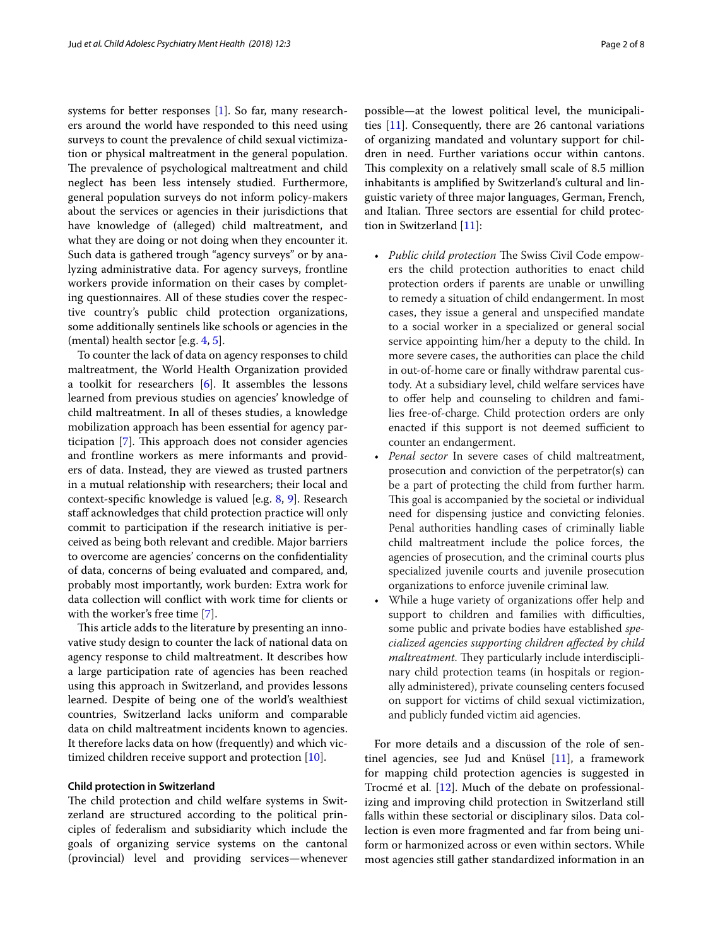systems for better responses [\[1](#page-6-0)]. So far, many researchers around the world have responded to this need using surveys to count the prevalence of child sexual victimization or physical maltreatment in the general population. The prevalence of psychological maltreatment and child neglect has been less intensely studied. Furthermore, general population surveys do not inform policy-makers about the services or agencies in their jurisdictions that have knowledge of (alleged) child maltreatment, and what they are doing or not doing when they encounter it. Such data is gathered trough "agency surveys" or by analyzing administrative data. For agency surveys, frontline workers provide information on their cases by completing questionnaires. All of these studies cover the respective country's public child protection organizations, some additionally sentinels like schools or agencies in the (mental) health sector [e.g. [4](#page-6-2), [5\]](#page-6-3).

To counter the lack of data on agency responses to child maltreatment, the World Health Organization provided a toolkit for researchers  $[6]$  $[6]$ . It assembles the lessons learned from previous studies on agencies' knowledge of child maltreatment. In all of theses studies, a knowledge mobilization approach has been essential for agency par-ticipation [\[7](#page-6-5)]. This approach does not consider agencies and frontline workers as mere informants and providers of data. Instead, they are viewed as trusted partners in a mutual relationship with researchers; their local and context-specifc knowledge is valued [e.g. [8](#page-6-6), [9](#page-6-7)]. Research staff acknowledges that child protection practice will only commit to participation if the research initiative is perceived as being both relevant and credible. Major barriers to overcome are agencies' concerns on the confdentiality of data, concerns of being evaluated and compared, and, probably most importantly, work burden: Extra work for data collection will confict with work time for clients or with the worker's free time [\[7](#page-6-5)].

This article adds to the literature by presenting an innovative study design to counter the lack of national data on agency response to child maltreatment. It describes how a large participation rate of agencies has been reached using this approach in Switzerland, and provides lessons learned. Despite of being one of the world's wealthiest countries, Switzerland lacks uniform and comparable data on child maltreatment incidents known to agencies. It therefore lacks data on how (frequently) and which vic-timized children receive support and protection [[10](#page-6-8)].

#### <span id="page-1-0"></span>**Child protection in Switzerland**

The child protection and child welfare systems in Switzerland are structured according to the political principles of federalism and subsidiarity which include the goals of organizing service systems on the cantonal (provincial) level and providing services—whenever

possible—at the lowest political level, the municipalities [[11](#page-6-9)]. Consequently, there are 26 cantonal variations of organizing mandated and voluntary support for children in need. Further variations occur within cantons. This complexity on a relatively small scale of 8.5 million inhabitants is amplifed by Switzerland's cultural and linguistic variety of three major languages, German, French, and Italian. Three sectors are essential for child protection in Switzerland [[11](#page-6-9)]:

- *Public child protection* The Swiss Civil Code empowers the child protection authorities to enact child protection orders if parents are unable or unwilling to remedy a situation of child endangerment. In most cases, they issue a general and unspecifed mandate to a social worker in a specialized or general social service appointing him/her a deputy to the child. In more severe cases, the authorities can place the child in out-of-home care or fnally withdraw parental custody. At a subsidiary level, child welfare services have to offer help and counseling to children and families free-of-charge. Child protection orders are only enacted if this support is not deemed sufficient to counter an endangerment.
- •• *Penal sector* In severe cases of child maltreatment, prosecution and conviction of the perpetrator(s) can be a part of protecting the child from further harm. This goal is accompanied by the societal or individual need for dispensing justice and convicting felonies. Penal authorities handling cases of criminally liable child maltreatment include the police forces, the agencies of prosecution, and the criminal courts plus specialized juvenile courts and juvenile prosecution organizations to enforce juvenile criminal law.
- While a huge variety of organizations offer help and support to children and families with difficulties, some public and private bodies have established *specialized agencies supporting children afected by child maltreatment*. They particularly include interdisciplinary child protection teams (in hospitals or regionally administered), private counseling centers focused on support for victims of child sexual victimization, and publicly funded victim aid agencies.

For more details and a discussion of the role of sentinel agencies, see Jud and Knüsel [[11\]](#page-6-9), a framework for mapping child protection agencies is suggested in Trocmé et al. [\[12](#page-6-10)]. Much of the debate on professionalizing and improving child protection in Switzerland still falls within these sectorial or disciplinary silos. Data collection is even more fragmented and far from being uniform or harmonized across or even within sectors. While most agencies still gather standardized information in an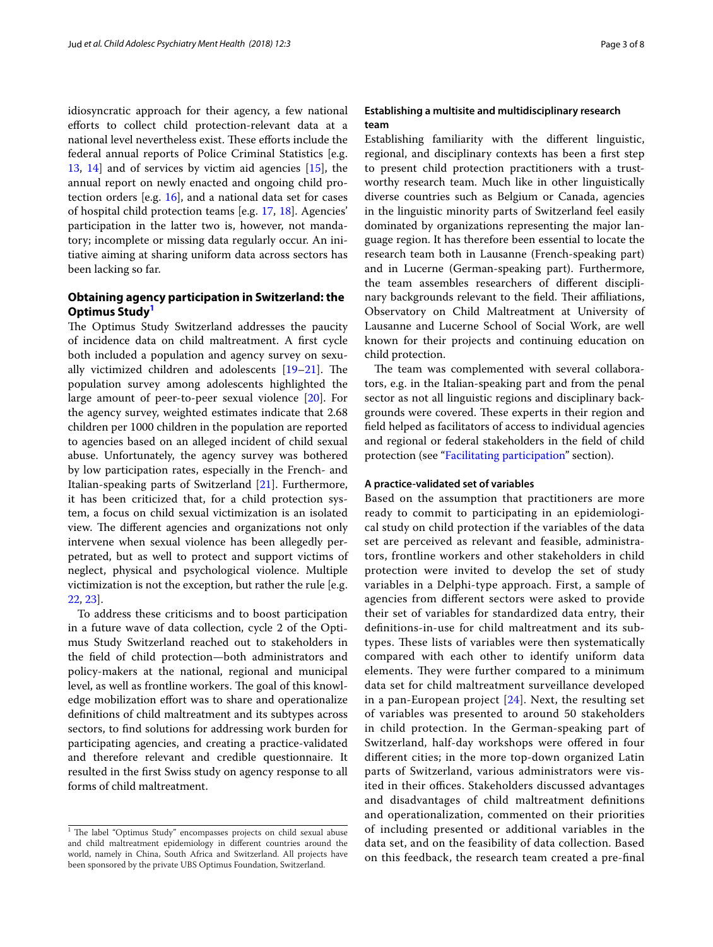idiosyncratic approach for their agency, a few national eforts to collect child protection-relevant data at a national level nevertheless exist. These efforts include the federal annual reports of Police Criminal Statistics [e.g. [13,](#page-7-0) [14\]](#page-7-1) and of services by victim aid agencies [\[15](#page-7-2)], the annual report on newly enacted and ongoing child protection orders  $[e.g. 16]$  $[e.g. 16]$ , and a national data set for cases of hospital child protection teams [e.g. [17](#page-7-4), [18](#page-7-5)]. Agencies' participation in the latter two is, however, not mandatory; incomplete or missing data regularly occur. An initiative aiming at sharing uniform data across sectors has been lacking so far.

## **Obtaining agency participation in Switzerland: the Optimus Stud[y1](#page-2-0)**

The Optimus Study Switzerland addresses the paucity of incidence data on child maltreatment. A frst cycle both included a population and agency survey on sexually victimized children and adolescents  $[19-21]$  $[19-21]$ . The population survey among adolescents highlighted the large amount of peer-to-peer sexual violence [\[20\]](#page-7-8). For the agency survey, weighted estimates indicate that 2.68 children per 1000 children in the population are reported to agencies based on an alleged incident of child sexual abuse. Unfortunately, the agency survey was bothered by low participation rates, especially in the French- and Italian-speaking parts of Switzerland [[21\]](#page-7-7). Furthermore, it has been criticized that, for a child protection system, a focus on child sexual victimization is an isolated view. The different agencies and organizations not only intervene when sexual violence has been allegedly perpetrated, but as well to protect and support victims of neglect, physical and psychological violence. Multiple victimization is not the exception, but rather the rule [e.g. [22,](#page-7-9) [23\]](#page-7-10).

To address these criticisms and to boost participation in a future wave of data collection, cycle 2 of the Optimus Study Switzerland reached out to stakeholders in the feld of child protection—both administrators and policy-makers at the national, regional and municipal level, as well as frontline workers. The goal of this knowledge mobilization effort was to share and operationalize defnitions of child maltreatment and its subtypes across sectors, to fnd solutions for addressing work burden for participating agencies, and creating a practice-validated and therefore relevant and credible questionnaire. It resulted in the frst Swiss study on agency response to all forms of child maltreatment.

### <span id="page-2-1"></span>**Establishing a multisite and multidisciplinary research team**

Establishing familiarity with the diferent linguistic, regional, and disciplinary contexts has been a frst step to present child protection practitioners with a trustworthy research team. Much like in other linguistically diverse countries such as Belgium or Canada, agencies in the linguistic minority parts of Switzerland feel easily dominated by organizations representing the major language region. It has therefore been essential to locate the research team both in Lausanne (French-speaking part) and in Lucerne (German-speaking part). Furthermore, the team assembles researchers of diferent disciplinary backgrounds relevant to the field. Their affiliations, Observatory on Child Maltreatment at University of Lausanne and Lucerne School of Social Work, are well known for their projects and continuing education on child protection.

The team was complemented with several collaborators, e.g. in the Italian-speaking part and from the penal sector as not all linguistic regions and disciplinary backgrounds were covered. These experts in their region and feld helped as facilitators of access to individual agencies and regional or federal stakeholders in the feld of child protection (see "[Facilitating participation](#page-4-0)" section).

#### **A practice‑validated set of variables**

Based on the assumption that practitioners are more ready to commit to participating in an epidemiological study on child protection if the variables of the data set are perceived as relevant and feasible, administrators, frontline workers and other stakeholders in child protection were invited to develop the set of study variables in a Delphi-type approach. First, a sample of agencies from diferent sectors were asked to provide their set of variables for standardized data entry, their defnitions-in-use for child maltreatment and its subtypes. These lists of variables were then systematically compared with each other to identify uniform data elements. They were further compared to a minimum data set for child maltreatment surveillance developed in a pan-European project [[24](#page-7-11)]. Next, the resulting set of variables was presented to around 50 stakeholders in child protection. In the German-speaking part of Switzerland, half-day workshops were offered in four diferent cities; in the more top-down organized Latin parts of Switzerland, various administrators were visited in their offices. Stakeholders discussed advantages and disadvantages of child maltreatment defnitions and operationalization, commented on their priorities of including presented or additional variables in the data set, and on the feasibility of data collection. Based on this feedback, the research team created a pre-fnal

<span id="page-2-0"></span> $^{\rm 1}$  The label "Optimus Study" encompasses projects on child sexual abuse and child maltreatment epidemiology in diferent countries around the world, namely in China, South Africa and Switzerland. All projects have been sponsored by the private UBS Optimus Foundation, Switzerland.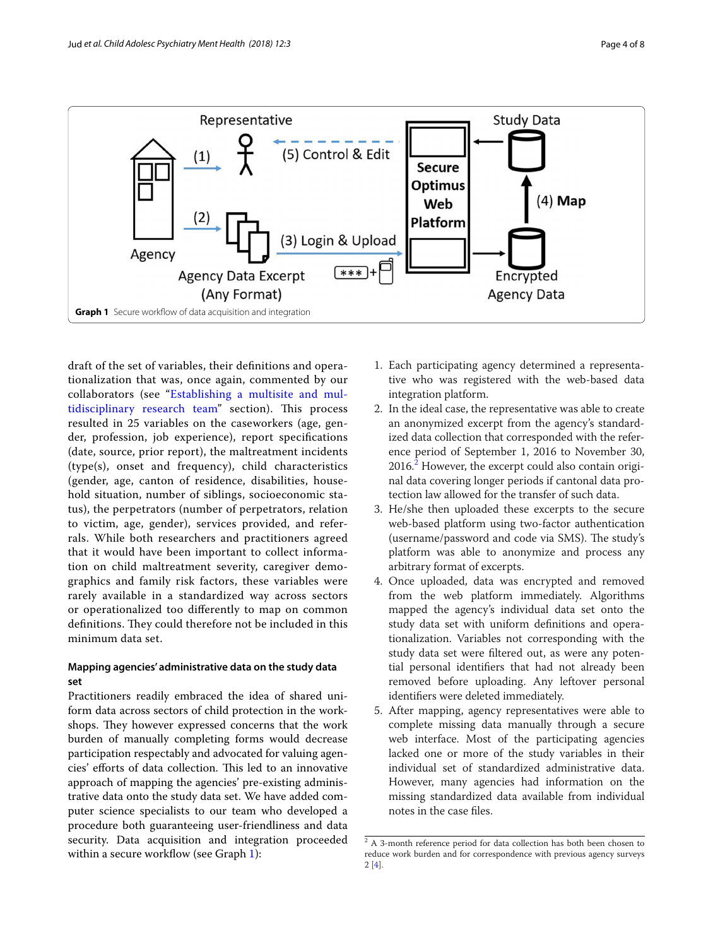



<span id="page-3-0"></span>draft of the set of variables, their defnitions and operationalization that was, once again, commented by our collaborators (see ["Establishing a multisite and mul](#page-2-1)[tidisciplinary research team"](#page-2-1) section). This process resulted in 25 variables on the caseworkers (age, gender, profession, job experience), report specifcations (date, source, prior report), the maltreatment incidents (type(s), onset and frequency), child characteristics (gender, age, canton of residence, disabilities, household situation, number of siblings, socioeconomic status), the perpetrators (number of perpetrators, relation to victim, age, gender), services provided, and referrals. While both researchers and practitioners agreed that it would have been important to collect information on child maltreatment severity, caregiver demographics and family risk factors, these variables were rarely available in a standardized way across sectors or operationalized too diferently to map on common definitions. They could therefore not be included in this minimum data set.

## <span id="page-3-2"></span>**Mapping agencies' administrative data on the study data set**

Practitioners readily embraced the idea of shared uniform data across sectors of child protection in the workshops. They however expressed concerns that the work burden of manually completing forms would decrease participation respectably and advocated for valuing agencies' efforts of data collection. This led to an innovative approach of mapping the agencies' pre-existing administrative data onto the study data set. We have added computer science specialists to our team who developed a procedure both guaranteeing user-friendliness and data security. Data acquisition and integration proceeded within a secure workflow (see Graph [1](#page-3-0)):

- 1. Each participating agency determined a representative who was registered with the web-based data integration platform.
- 2. In the ideal case, the representative was able to create an anonymized excerpt from the agency's standardized data collection that corresponded with the reference period of September 1, 2016 to November 30, 2016.<sup>2</sup> However, the excerpt could also contain original data covering longer periods if cantonal data protection law allowed for the transfer of such data.
- 3. He/she then uploaded these excerpts to the secure web-based platform using two-factor authentication (username/password and code via SMS). The study's platform was able to anonymize and process any arbitrary format of excerpts.
- 4. Once uploaded, data was encrypted and removed from the web platform immediately. Algorithms mapped the agency's individual data set onto the study data set with uniform defnitions and operationalization. Variables not corresponding with the study data set were fltered out, as were any potential personal identifers that had not already been removed before uploading. Any leftover personal identifers were deleted immediately.
- 5. After mapping, agency representatives were able to complete missing data manually through a secure web interface. Most of the participating agencies lacked one or more of the study variables in their individual set of standardized administrative data. However, many agencies had information on the missing standardized data available from individual notes in the case fles.

<span id="page-3-1"></span><sup>&</sup>lt;sup>2</sup> A 3-month reference period for data collection has both been chosen to reduce work burden and for correspondence with previous agency surveys 2 [[4](#page-6-2)].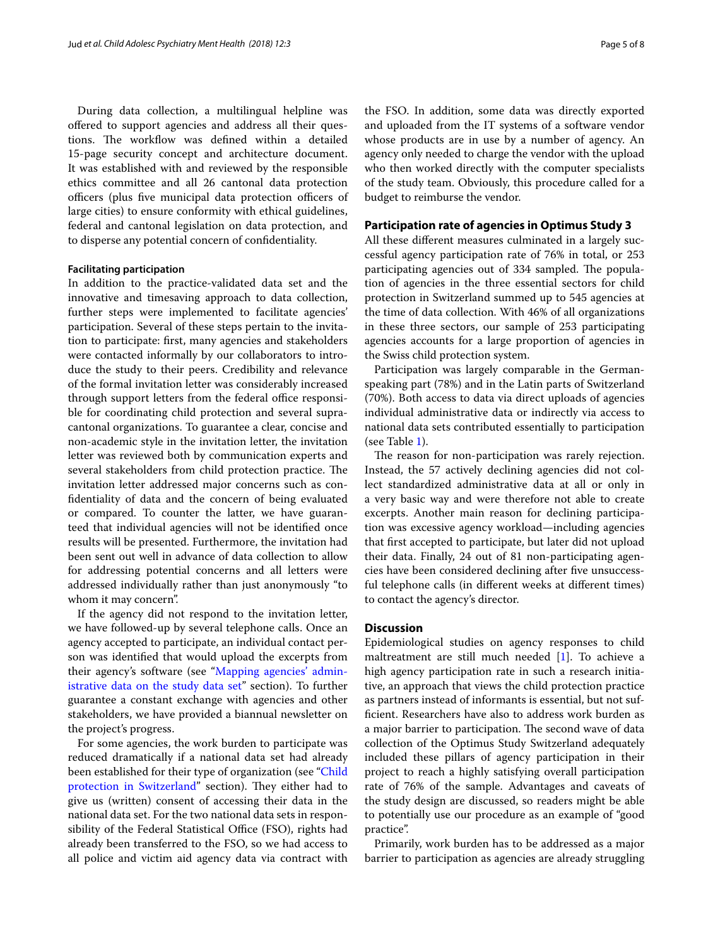During data collection, a multilingual helpline was ofered to support agencies and address all their questions. The workflow was defined within a detailed 15-page security concept and architecture document. It was established with and reviewed by the responsible ethics committee and all 26 cantonal data protection officers (plus five municipal data protection officers of large cities) to ensure conformity with ethical guidelines, federal and cantonal legislation on data protection, and to disperse any potential concern of confdentiality.

#### <span id="page-4-0"></span>**Facilitating participation**

In addition to the practice-validated data set and the innovative and timesaving approach to data collection, further steps were implemented to facilitate agencies' participation. Several of these steps pertain to the invitation to participate: frst, many agencies and stakeholders were contacted informally by our collaborators to introduce the study to their peers. Credibility and relevance of the formal invitation letter was considerably increased through support letters from the federal office responsible for coordinating child protection and several supracantonal organizations. To guarantee a clear, concise and non-academic style in the invitation letter, the invitation letter was reviewed both by communication experts and several stakeholders from child protection practice. The invitation letter addressed major concerns such as confdentiality of data and the concern of being evaluated or compared. To counter the latter, we have guaranteed that individual agencies will not be identifed once results will be presented. Furthermore, the invitation had been sent out well in advance of data collection to allow for addressing potential concerns and all letters were addressed individually rather than just anonymously "to whom it may concern".

If the agency did not respond to the invitation letter, we have followed-up by several telephone calls. Once an agency accepted to participate, an individual contact person was identifed that would upload the excerpts from their agency's software (see "[Mapping agencies' admin](#page-3-2)[istrative data on the study data set](#page-3-2)" section). To further guarantee a constant exchange with agencies and other stakeholders, we have provided a biannual newsletter on the project's progress.

For some agencies, the work burden to participate was reduced dramatically if a national data set had already been established for their type of organization (see ["Child](#page-1-0)  [protection in Switzerland"](#page-1-0) section). They either had to give us (written) consent of accessing their data in the national data set. For the two national data sets in responsibility of the Federal Statistical Office (FSO), rights had already been transferred to the FSO, so we had access to all police and victim aid agency data via contract with

the FSO. In addition, some data was directly exported and uploaded from the IT systems of a software vendor whose products are in use by a number of agency. An agency only needed to charge the vendor with the upload who then worked directly with the computer specialists of the study team. Obviously, this procedure called for a budget to reimburse the vendor.

#### **Participation rate of agencies in Optimus Study 3**

All these diferent measures culminated in a largely successful agency participation rate of 76% in total, or 253 participating agencies out of 334 sampled. The population of agencies in the three essential sectors for child protection in Switzerland summed up to 545 agencies at the time of data collection. With 46% of all organizations in these three sectors, our sample of 253 participating agencies accounts for a large proportion of agencies in the Swiss child protection system.

Participation was largely comparable in the Germanspeaking part (78%) and in the Latin parts of Switzerland (70%). Both access to data via direct uploads of agencies individual administrative data or indirectly via access to national data sets contributed essentially to participation (see Table [1\)](#page-5-0).

The reason for non-participation was rarely rejection. Instead, the 57 actively declining agencies did not collect standardized administrative data at all or only in a very basic way and were therefore not able to create excerpts. Another main reason for declining participation was excessive agency workload—including agencies that frst accepted to participate, but later did not upload their data. Finally, 24 out of 81 non-participating agencies have been considered declining after fve unsuccessful telephone calls (in diferent weeks at diferent times) to contact the agency's director.

#### **Discussion**

Epidemiological studies on agency responses to child maltreatment are still much needed [\[1](#page-6-0)]. To achieve a high agency participation rate in such a research initiative, an approach that views the child protection practice as partners instead of informants is essential, but not suffcient. Researchers have also to address work burden as a major barrier to participation. The second wave of data collection of the Optimus Study Switzerland adequately included these pillars of agency participation in their project to reach a highly satisfying overall participation rate of 76% of the sample. Advantages and caveats of the study design are discussed, so readers might be able to potentially use our procedure as an example of "good practice".

Primarily, work burden has to be addressed as a major barrier to participation as agencies are already struggling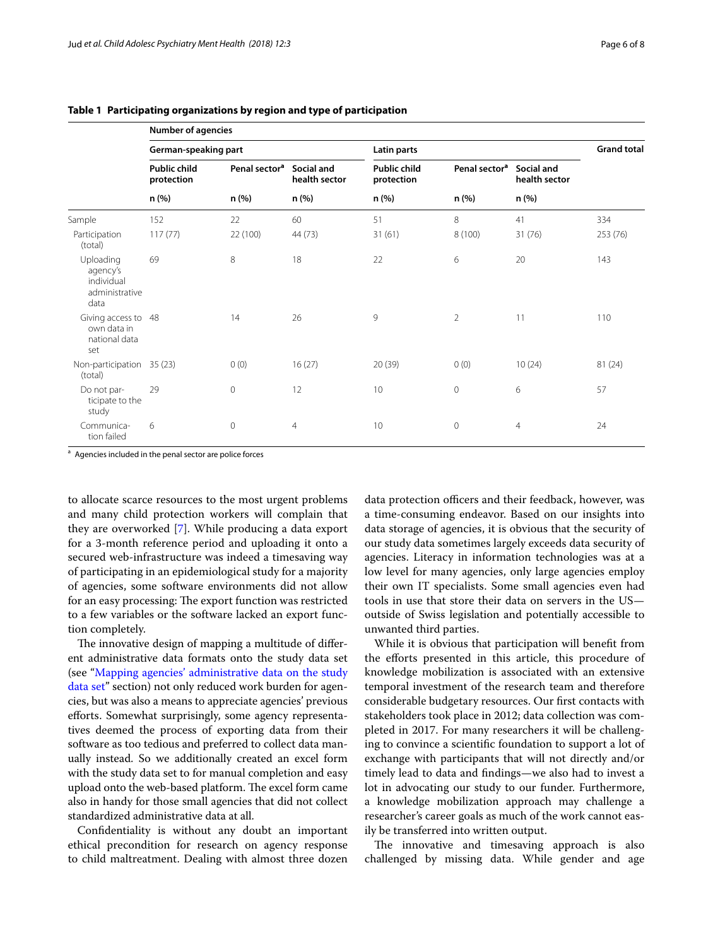|                                                               | <b>Number of agencies</b>                  |                                    |                                      |                                            |                                    |                                      |                    |
|---------------------------------------------------------------|--------------------------------------------|------------------------------------|--------------------------------------|--------------------------------------------|------------------------------------|--------------------------------------|--------------------|
|                                                               | German-speaking part                       |                                    |                                      | Latin parts                                |                                    |                                      | <b>Grand total</b> |
|                                                               | <b>Public child</b><br>protection<br>n (%) | Penal sector <sup>a</sup><br>n (%) | Social and<br>health sector<br>n (%) | <b>Public child</b><br>protection<br>n (%) | Penal sector <sup>a</sup><br>n (%) | Social and<br>health sector<br>n (%) |                    |
|                                                               |                                            |                                    |                                      |                                            |                                    |                                      |                    |
| Sample                                                        | 152                                        | 22                                 | 60                                   | 51                                         | 8                                  | 41                                   | 334                |
| Participation<br>(total)                                      | 117(77)                                    | 22 (100)                           | 44 (73)                              | 31(61)                                     | 8(100)                             | 31(76)                               | 253 (76)           |
| Uploading<br>agency's<br>individual<br>administrative<br>data | 69                                         | 8                                  | 18                                   | 22                                         | 6                                  | 20                                   | 143                |
| Giving access to 48<br>own data in<br>national data<br>set    |                                            | 14                                 | 26                                   | 9                                          | $\overline{2}$                     | 11                                   | 110                |
| Non-participation 35 (23)<br>(total)                          |                                            | 0(0)                               | 16(27)                               | 20(39)                                     | 0(0)                               | 10(24)                               | 81(24)             |
| Do not par-<br>ticipate to the<br>study                       | 29                                         | $\mathbf{0}$                       | 12                                   | 10                                         | $\overline{0}$                     | 6                                    | 57                 |
| Communica-<br>tion failed                                     | 6                                          | $\mathbf{0}$                       | $\overline{4}$                       | 10                                         | $\mathbf 0$                        | 4                                    | 24                 |

<span id="page-5-0"></span>**Table 1 Participating organizations by region and type of participation**

<sup>a</sup> Agencies included in the penal sector are police forces

to allocate scarce resources to the most urgent problems and many child protection workers will complain that they are overworked [\[7](#page-6-5)]. While producing a data export for a 3-month reference period and uploading it onto a secured web-infrastructure was indeed a timesaving way of participating in an epidemiological study for a majority of agencies, some software environments did not allow for an easy processing: The export function was restricted to a few variables or the software lacked an export function completely.

The innovative design of mapping a multitude of different administrative data formats onto the study data set (see ["Mapping agencies' administrative data on the study](#page-3-2)  [data set"](#page-3-2) section) not only reduced work burden for agencies, but was also a means to appreciate agencies' previous eforts. Somewhat surprisingly, some agency representatives deemed the process of exporting data from their software as too tedious and preferred to collect data manually instead. So we additionally created an excel form with the study data set to for manual completion and easy upload onto the web-based platform. The excel form came also in handy for those small agencies that did not collect standardized administrative data at all.

Confdentiality is without any doubt an important ethical precondition for research on agency response to child maltreatment. Dealing with almost three dozen data protection officers and their feedback, however, was a time-consuming endeavor. Based on our insights into data storage of agencies, it is obvious that the security of our study data sometimes largely exceeds data security of agencies. Literacy in information technologies was at a low level for many agencies, only large agencies employ their own IT specialists. Some small agencies even had tools in use that store their data on servers in the US outside of Swiss legislation and potentially accessible to unwanted third parties.

While it is obvious that participation will beneft from the eforts presented in this article, this procedure of knowledge mobilization is associated with an extensive temporal investment of the research team and therefore considerable budgetary resources. Our frst contacts with stakeholders took place in 2012; data collection was completed in 2017. For many researchers it will be challenging to convince a scientifc foundation to support a lot of exchange with participants that will not directly and/or timely lead to data and fndings—we also had to invest a lot in advocating our study to our funder. Furthermore, a knowledge mobilization approach may challenge a researcher's career goals as much of the work cannot easily be transferred into written output.

The innovative and timesaving approach is also challenged by missing data. While gender and age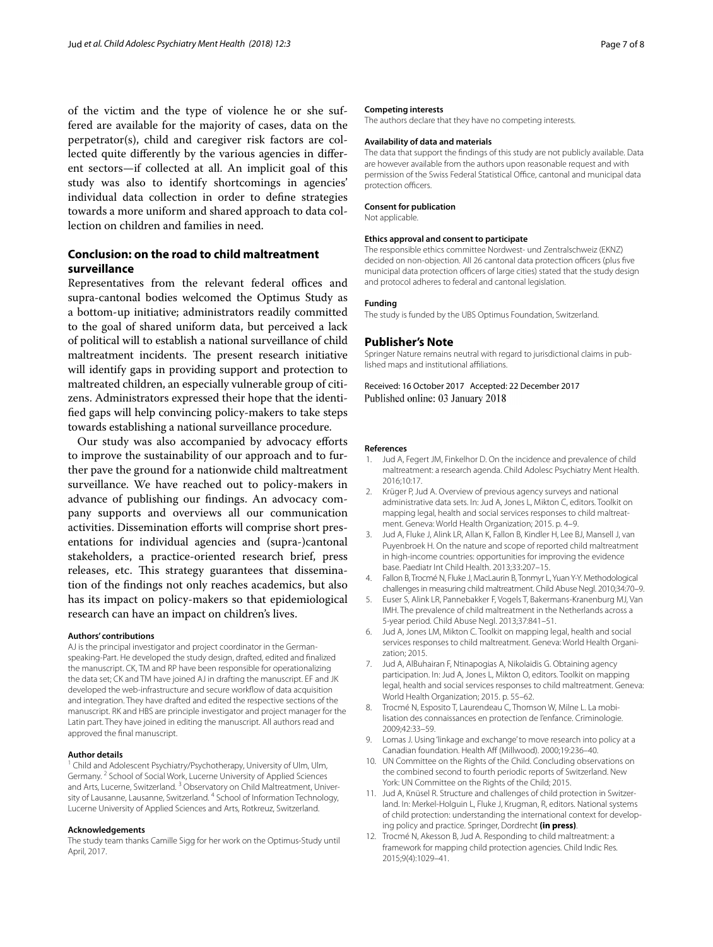of the victim and the type of violence he or she suffered are available for the majority of cases, data on the perpetrator(s), child and caregiver risk factors are collected quite diferently by the various agencies in diferent sectors—if collected at all. An implicit goal of this study was also to identify shortcomings in agencies' individual data collection in order to defne strategies towards a more uniform and shared approach to data collection on children and families in need.

## **Conclusion: on the road to child maltreatment surveillance**

Representatives from the relevant federal offices and supra-cantonal bodies welcomed the Optimus Study as a bottom-up initiative; administrators readily committed to the goal of shared uniform data, but perceived a lack of political will to establish a national surveillance of child maltreatment incidents. The present research initiative will identify gaps in providing support and protection to maltreated children, an especially vulnerable group of citizens. Administrators expressed their hope that the identifed gaps will help convincing policy-makers to take steps towards establishing a national surveillance procedure.

Our study was also accompanied by advocacy eforts to improve the sustainability of our approach and to further pave the ground for a nationwide child maltreatment surveillance. We have reached out to policy-makers in advance of publishing our fndings. An advocacy company supports and overviews all our communication activities. Dissemination eforts will comprise short presentations for individual agencies and (supra-)cantonal stakeholders, a practice-oriented research brief, press releases, etc. This strategy guarantees that dissemination of the fndings not only reaches academics, but also has its impact on policy-makers so that epidemiological research can have an impact on children's lives.

#### **Authors' contributions**

AJ is the principal investigator and project coordinator in the Germanspeaking-Part. He developed the study design, drafted, edited and fnalized the manuscript. CK, TM and RP have been responsible for operationalizing the data set; CK and TM have joined AJ in drafting the manuscript. EF and JK developed the web-infrastructure and secure workfow of data acquisition and integration. They have drafted and edited the respective sections of the manuscript. RK and HBS are principle investigator and project manager for the Latin part. They have joined in editing the manuscript. All authors read and approved the fnal manuscript.

#### **Author details**

<sup>1</sup> Child and Adolescent Psychiatry/Psychotherapy, University of Ulm, Ulm, Germany. <sup>2</sup> School of Social Work, Lucerne University of Applied Sciences and Arts, Lucerne, Switzerland. 3 Observatory on Child Maltreatment, University of Lausanne, Lausanne, Switzerland.<sup>4</sup> School of Information Technology, Lucerne University of Applied Sciences and Arts, Rotkreuz, Switzerland.

#### **Acknowledgements**

The study team thanks Camille Sigg for her work on the Optimus-Study until April, 2017.

#### **Competing interests**

The authors declare that they have no competing interests.

#### **Availability of data and materials**

The data that support the fndings of this study are not publicly available. Data are however available from the authors upon reasonable request and with permission of the Swiss Federal Statistical Office, cantonal and municipal data protection officers.

#### **Consent for publication**

Not applicable.

#### **Ethics approval and consent to participate**

The responsible ethics committee Nordwest- und Zentralschweiz (EKNZ) decided on non-objection. All 26 cantonal data protection officers (plus five municipal data protection officers of large cities) stated that the study design and protocol adheres to federal and cantonal legislation.

#### **Funding**

The study is funded by the UBS Optimus Foundation, Switzerland.

#### **Publisher's Note**

Springer Nature remains neutral with regard to jurisdictional claims in published maps and institutional afliations.

Received: 16 October 2017 Accepted: 22 December 2017 Published online: 03 January 2018

#### **References**

- <span id="page-6-0"></span>1. Jud A, Fegert JM, Finkelhor D. On the incidence and prevalence of child maltreatment: a research agenda. Child Adolesc Psychiatry Ment Health. 2016;10:17.
- 2. Krüger P, Jud A. Overview of previous agency surveys and national administrative data sets. In: Jud A, Jones L, Mikton C, editors. Toolkit on mapping legal, health and social services responses to child maltreatment. Geneva: World Health Organization; 2015. p. 4–9.
- <span id="page-6-1"></span>3. Jud A, Fluke J, Alink LR, Allan K, Fallon B, Kindler H, Lee BJ, Mansell J, van Puyenbroek H. On the nature and scope of reported child maltreatment in high-income countries: opportunities for improving the evidence base. Paediatr Int Child Health. 2013;33:207–15.
- <span id="page-6-2"></span>4. Fallon B, Trocmé N, Fluke J, MacLaurin B, Tonmyr L, Yuan Y-Y. Methodological challenges in measuring child maltreatment. Child Abuse Negl. 2010;34:70–9.
- <span id="page-6-3"></span>5. Euser S, Alink LR, Pannebakker F, Vogels T, Bakermans-Kranenburg MJ, Van IMH. The prevalence of child maltreatment in the Netherlands across a 5-year period. Child Abuse Negl. 2013;37:841–51.
- <span id="page-6-4"></span>6. Jud A, Jones LM, Mikton C. Toolkit on mapping legal, health and social services responses to child maltreatment. Geneva: World Health Organization; 2015.
- <span id="page-6-5"></span>7. Jud A, AlBuhairan F, Ntinapogias A, Nikolaidis G. Obtaining agency participation. In: Jud A, Jones L, Mikton O, editors. Toolkit on mapping legal, health and social services responses to child maltreatment. Geneva: World Health Organization; 2015. p. 55–62.
- <span id="page-6-6"></span>8. Trocmé N, Esposito T, Laurendeau C, Thomson W, Milne L. La mobilisation des connaissances en protection de l'enfance. Criminologie. 2009;42:33–59.
- <span id="page-6-7"></span>9. Lomas J. Using 'linkage and exchange' to move research into policy at a Canadian foundation. Health Aff (Millwood). 2000;19:236-40.
- <span id="page-6-8"></span>10. UN Committee on the Rights of the Child. Concluding observations on the combined second to fourth periodic reports of Switzerland. New York: UN Committee on the Rights of the Child; 2015.
- <span id="page-6-9"></span>11. Jud A, Knüsel R. Structure and challenges of child protection in Switzerland. In: Merkel-Holguin L, Fluke J, Krugman, R, editors. National systems of child protection: understanding the international context for developing policy and practice. Springer, Dordrecht **(in press)**.
- <span id="page-6-10"></span>12. Trocmé N, Akesson B, Jud A. Responding to child maltreatment: a framework for mapping child protection agencies. Child Indic Res. 2015;9(4):1029–41.